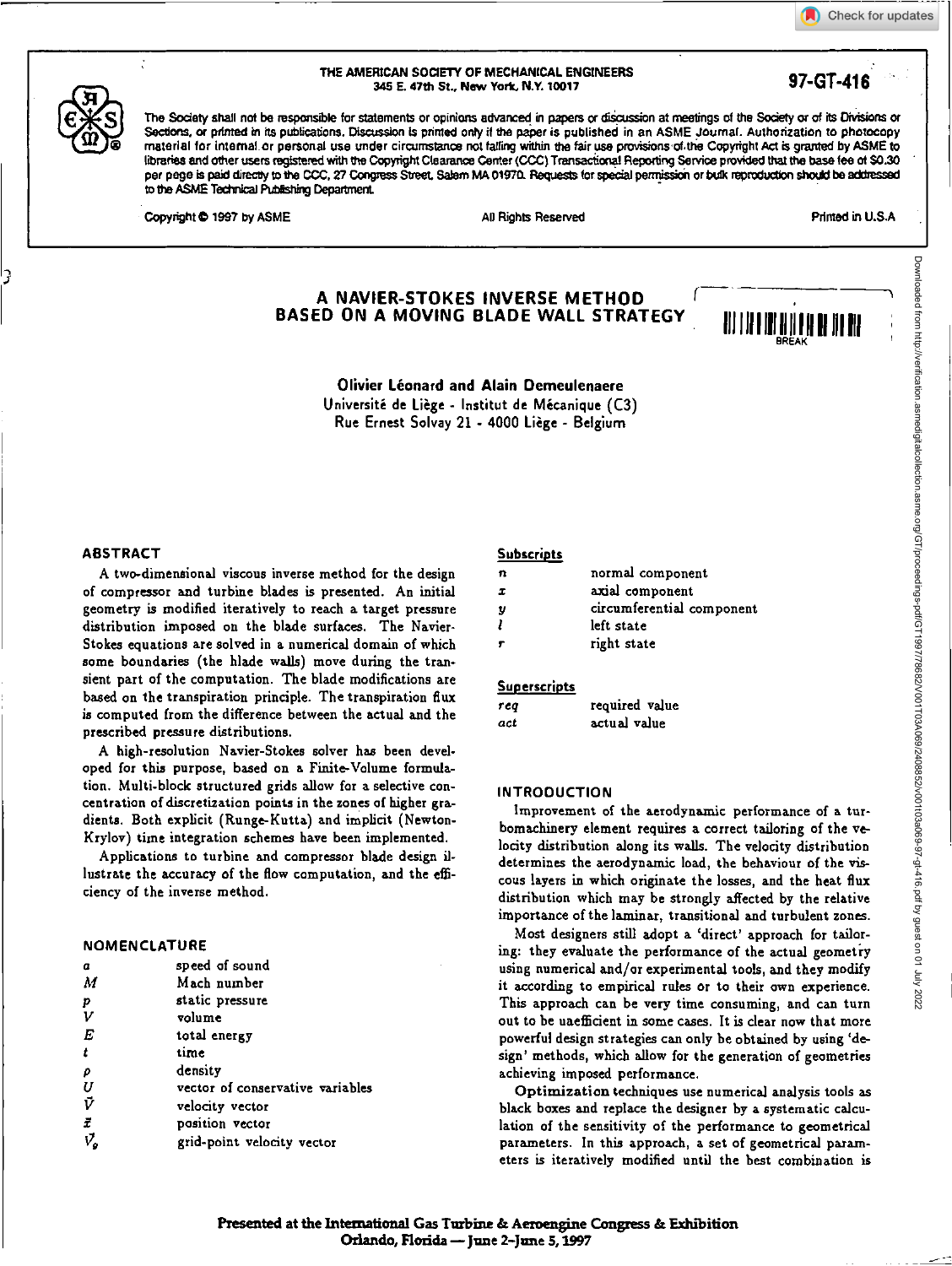Check for updates





THE AMERICAN SOCIETY OF MECHANICAL ENGINEERS US E. 47th St., New York, N.Y. 10017 **97-GT-416** 

The Society shall not be responsible for statements or opinions advanced in papers or discussion at meetings of the Society or of its Divisions or Sections, or printed in its publications. Discussion is printed only if the paper is published in an ASME Journal. Authorization to photocopy material for internal or personal use under circumstance not falling within the fair use provisions of the Copyright Act is granted by ASME to libraries and other users registered with the Copyright Clearance Center (CCC) Transactional Reporting Service provided that the base lee of \$0.30 per page is paid directly to the CCC, 27 Congress Street, Salem MA 01970. Requests for special permission or bulk reproduction should be addressed to the ASME Technical Publishing Department

Copyright © 1997 by ASME All Rights Reserved All Rights Reserved Printed in U.S.A

OR EA K

# **A NAVIER-STOKES INVERSE METHOD BASED ON A MOVING BLADE WALL STRATEGY**

**Olivier Leonard and Alain Demeulenaere**  Université de Liège - Institut de Mécanique (C3) Rue Ernest Solvay 21 - 4000 Liege - Belgium

## **ABSTRACT**

A two-dimensional viscous inverse method for the design of compressor and turbine blades is presented. An initial geometry is modified iteratively to reach a target pressure distribution imposed on the blade surfaces. The Navier-Stokes equations are solved in a numerical domain of which some boundaries (the blade walls) move during the transient part of the computation. The blade modifications are based on the transpiration principle. The transpiration flux is computed from the difference between the actual and the prescribed pressure distributions.

A high-resolution Navier-Stokes solver has been developed for this purpose, based on a Finite-Volume formulation. Multi-block structured grids allow for a selective concentration of discretization points in the zones of higher gradients. Both explicit (Runge-Kutta) and implicit (Newton-Krylov) time integration schemes have been implemented.

Applications to turbine and compressor blade design illustrate the accuracy of the flow computation, and the efficiency of the inverse method.

## **NOMENCLATURE**

| speed of sound                   |
|----------------------------------|
| Mach number                      |
| static pressure                  |
| volume                           |
| total energy                     |
| time                             |
| density                          |
| vector of conservative variables |
| velocity vector                  |
| position vector                  |
| grid-point velocity vector       |
|                                  |

## **Subscripts**

| n  | normal component          |
|----|---------------------------|
| x. | axial component           |
| y  | circumferential component |
|    | left state                |
|    | right state               |

#### **Superscripts**

| t ca | required value |
|------|----------------|
| act  | actual value   |

# **INTRODUCTION**

Improvement of the aerodynamic performance of a turbomachinery element requires a correct tailoring of the velocity distribution along its walls. The velocity distribution determines the aerodynamic load, the behaviour of the viscous layers in which originate the losses, and the heat flux distribution which may be strongly affected by the relative importance of the laminar, transitional and turbulent zones.

Most designers still adopt a 'direct' approach for tailoring: they evaluate the performance of the actual geometry using numerical and/or experimental tools, and they modify it according to empirical rules or to their own experience. This approach can be very time consuming, and can turn out to be unefficient in some cases. It is clear now that more powerful design strategies can only be obtained by using 'design' methods, which allow for the generation of geometries achieving imposed performance.

Optimization techniques use numerical analysis tools as black boxes and replace the designer by a systematic calculation of the sensitivity of the performance to geometrical parameters. In this approach, a set of geometrical parameters is iteratively modified until the best combination is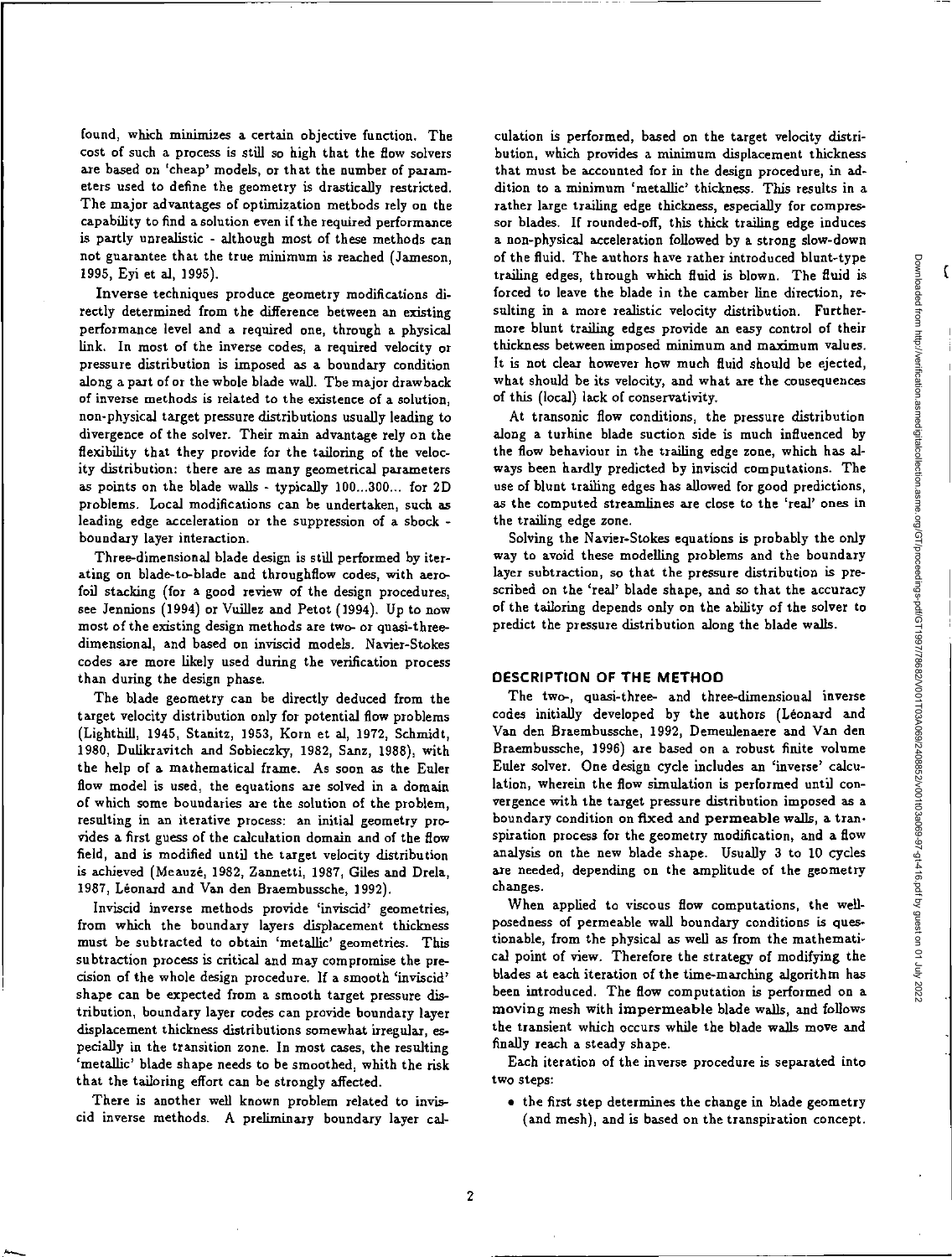found, which minimizes a certain objective function. The cost of such a process is still so high that the flow solvers are based on 'cheap' models, or that the number of parameters used to define the geometry is drastically restricted. The major advantages of optimization methods rely on the capability to find a solution even if the required performance is partly unrealistic - although most of these methods can not guarantee that the true minimum is reached (Jameson, 1995, Eyi et al, 1995).

Inverse techniques produce geometry modifications directly determined from the difference between an existing performance level and a required one, through a physical link. In most of the inverse codes, a required velocity or pressure distribution is imposed as a boundary condition along a part of or the whole blade wall. The major drawback of inverse methods is related to the existence of a solution, non-physical target pressure distributions usually leading to divergence of the solver. Their main advantage rely on the flexibility that they provide for the tailoring of the velocity distribution: there are as many geometrical parameters as points on the blade walls - typically 100...300... for 2D problems. Local modifications can be undertaken, such as leading edge acceleration or the suppression of a shock boundary layer interaction.

Three-dimensional blade design is still performed by iterating on blade-to-blade and throughflow codes, with aerofoil stacking (for a good review of the design procedures, see Jennions (1994) or Vuillez and Petot (1994). Up to now most of the existing design methods are two- or quasi-threedimensional, and based on inviscid models. Navier-Stokes codes are more likely used during the verification process than during the design phase.

The blade geometry can be directly deduced from the target velocity distribution only for potential flow problems (Lighthill, 1945, Stanitz, 1953, Korn et al, 1972, Schmidt, 1980, Dulikravitch and Sobieczky, 1982, Sanz, 1988), with the help of a mathematical frame. As soon as the Euler flow model is used, the equations are solved in a domain of which some boundaries are the solution of the problem, resulting in an iterative process: an initial geometry provides a first guess of the calculation domain and of the flow field, and is modified until the target velocity distribution is achieved (Meauze, 1982, Zannetti, 1987, Giles and Drela, 1987, Leonard and Van den Braembussche, 1992).

Inviscid inverse methods provide 'inviscid' geometries, from which the boundary layers displacement thickness must be subtracted to obtain 'metallic' geometries. This subtraction process is critical and may compromise the precision of the whole design procedure. If a smooth 'inviscid' shape can be expected from a smooth target pressure distribution, boundary layer codes can provide boundary layer displacement thickness distributions somewhat irregular, especially in the transition zone. In most cases, the resulting 'metallic' blade shape needs to be smoothed, whith the risk that the tailoring effort can be strongly affected.

There is another well known problem related to inviscid inverse methods. A preliminary boundary layer cal-

culation is performed, based on the target velocity distribution, which provides a minimum displacement thickness that must *be* accounted for in the design procedure, in addition to a minimum 'metallic' thickness. This results in a rather large trailing edge thickness, especially for compressor blades. If rounded-off, this thick trailing edge induces a non-physical acceleration followed by a strong slow-down of the fluid. The authors have rather introduced blunt-type trailing edges, through which fluid is blown. The fluid is forced to leave the blade in the camber line direction, resulting in a more realistic velocity distribution. Furthermore blunt trailing edges provide an easy control of their thickness between imposed minimum and maximum values. It is not clear however how much fluid should be ejected, what should be its velocity, and what are the consequences of this (local) lack of conservativity.

At transonic flow conditions, the pressure distribution along a turbine blade suction side is much influenced by the flow behaviour in the trailing edge zone, which has always been hardly predicted by inviscid computations. The use of blunt trailing edges has allowed for good predictions, as the computed streamlines are close to the 'real' ones in the trailing edge zone.

Solving the Navier-Stokes equations is probably the only way to avoid these modelling problems and the boundary layer subtraction, so that the pressure distribution is prescribed on the 'real' blade shape, and so that the accuracy of the tailoring depends only on the ability of the solver to predict the pressure distribution along the blade walls.

### **DESCRIPTION OF THE METHOD**

The two-, quasi-three- and three-dimensional inverse codes initially developed by the authors (Léonard and Van den Braembussche, 1992, Demeulenaere and Van den Braembussche, 1996) are based on a robust finite volume Euler solver. One design cycle includes an 'inverse' calculation, wherein the flow simulation is performed until convergence with the target pressure distribution imposed as a boundary condition on fixed and permeable walls, a transpiration process for the geometry modification, and a flow analysis on the new blade shape. Usually 3 to 10 cycles are needed, depending on the amplitude of the geometry changes.

When applied to viscous flow computations, the wellposedness of permeable wall boundary conditions is questionable, from the physical as well as from the mathematical point of view. Therefore the strategy of modifying the blades at each iteration of the time-marching algorithm has been introduced. The flow computation is performed on a moving mesh with impermeable blade walls, and follows the transient which occurs while the blade walls move and finally reach a steady shape.

Each iteration of the inverse procedure is separated into two steps:

• the first step determines the change in blade geometry (and mesh), and is based on the transpiration concept.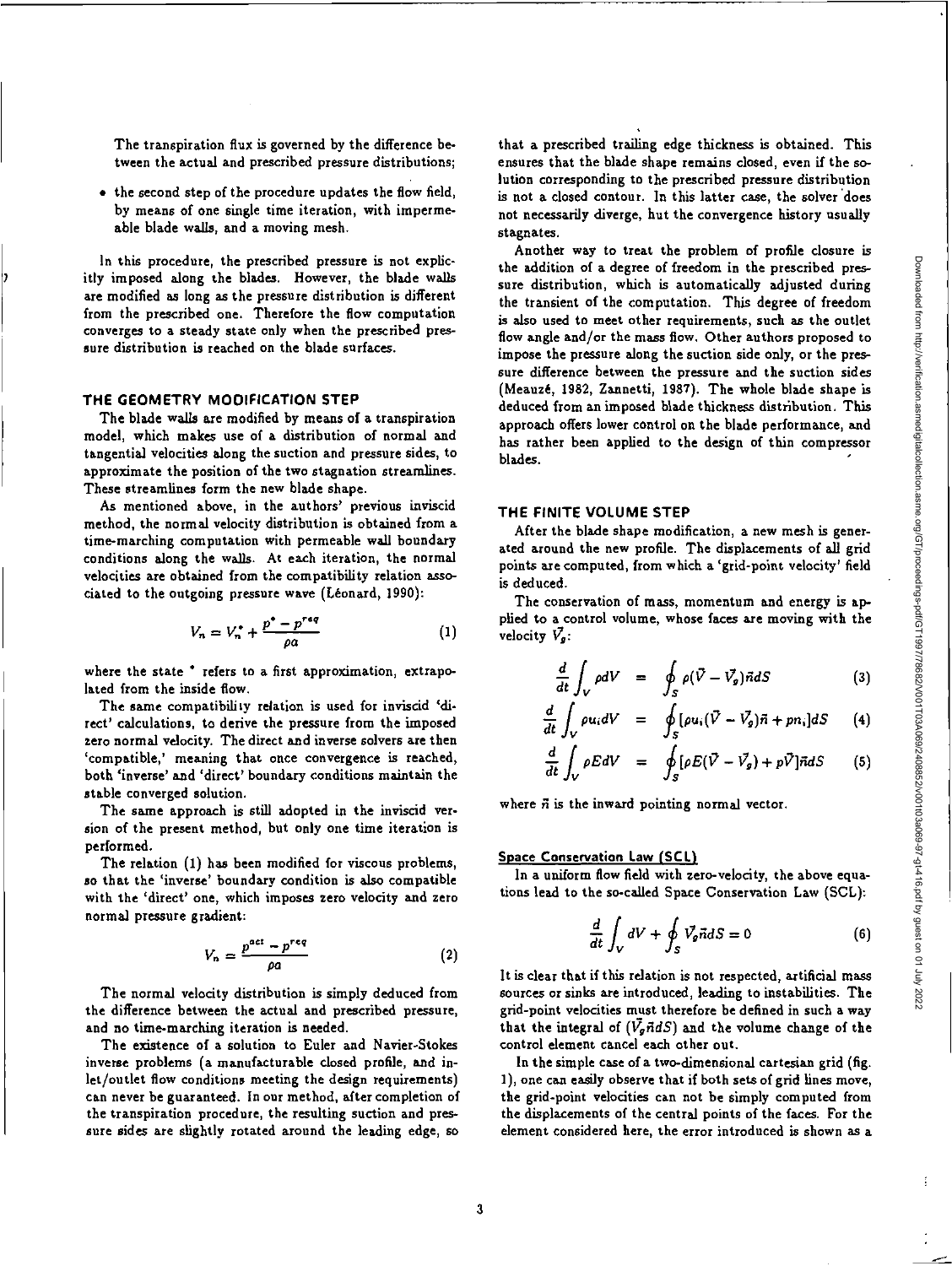The transpiration flux is governed by the difference between the actual and prescribed pressure distributions;

• the second step of the procedure updates the flow field, by means of one single time iteration, with impermeable blade walls, and a moving mesh.

In this procedure, the prescribed pressure is not explicitly imposed along the blades. However, the blade walls are modified as long as the pressure distribution is different from the prescribed one. Therefore the flow computation converges to a steady state only when the prescribed pressure distribution is reached on the blade surfaces.

### **THE GEOMETRY MODIFICATION STEP**

The blade walls are modified by means of a transpiration model, which makes use of a distribution of normal and tangential velocities along the suction and pressure sides, to approximate the position of the two stagnation streamlines. These streamlines form the new blade shape.

As mentioned above, in the authors' previous inviscid method, the normal velocity distribution is obtained from a time-marching computation with permeable wall boundary conditions along the walls. At each iteration, the normal velocities are obtained from the compatibility relation associated to the outgoing pressure wave (Leonard, 1990):

$$
V_n = V_n^* + \frac{p^* - p^{req}}{\rho a} \tag{1}
$$

where the state  $*$  refers to a first approximation, extrapolated from the inside flow.

The same compatibility relation is used for inviscid 'direct' calculations, to derive the pressure from the imposed zero normal velocity. The direct and inverse solvers are then 'compatible,' meaning that once convergence is reached, both 'inverse' and 'direct' boundary conditions maintain the stable converged solution.

The same approach is still adopted in the inviscid version of the present method, but only one time iteration is performed.

The relation (1) has been modified for viscous problems, so that the 'inverse' boundary condition is also compatible with the 'direct' one, which imposes zero velocity and zero normal pressure gradient:

$$
V_n = \frac{p^{act} - p^{req}}{\rho a} \tag{2}
$$

The normal velocity distribution is simply deduced from the difference between the actual and prescribed pressure, and no time-marching iteration is needed.

The existence of a solution to Euler and Navier-Stokes inverse problems (a manufacturable closed profile, and inlet/outlet flow conditions meeting the design requirements) can never be guaranteed. In our method, after completion of the transpiration procedure, the resulting suction and pressure sides are slightly rotated around the leading edge, so

that a prescribed trailing edge thickness is obtained. This ensures that the blade shape remains closed, even if the solution corresponding to the prescribed pressure distribution is not a closed contour. In this latter case, the solver does not necessarily diverge, but the convergence history usually stagnates.

Another way to treat the problem of profile closure is the addition of a degree of freedom in the prescribed pressure distribution, which is automatically adjusted during the transient of the computation. This degree of freedom is also used to meet other requirements, such as the outlet flow angle and/or the mass flow. Other authors proposed to impose the pressure along the suction side only, or the pressure difference between the pressure and the suction sides (Meauze, 1982, Zannetti, 1987). The whole blade shape is deduced from an imposed blade thickness distribution. This approach offers lower control on the blade performance, and has rather been applied to the design of thin compressor blades.

### **THE FINITE VOLUME STEP**

After the blade shape modification, a new mesh is generated around the new profile. The displacements of all grid points axe computed, from which a 'grid-point velocity' field is deduced.

The conservation of mass, momentum and energy is applied to a control volume, whose faces are moving with the velocity  $\bar{V}_q$ :

$$
\frac{d}{dt}\int_{V}\rho dV = \oint_{S}\rho(\vec{V}-\vec{V_{g}})\vec{n}dS \qquad (3)
$$

$$
\frac{d}{dt}\int_{V}\rho u_{i}dV = \oint_{S}[\rho u_{i}(\vec{V}-\vec{V}_{g})\vec{n}+pn_{i}]dS \qquad (4)
$$

$$
\frac{d}{dt}\int_{V}\rho EdV = \oint_{S} [\rho E(\vec{V} - \vec{V}_{g}) + p\vec{V}]\vec{n}dS \qquad (5)
$$

where  $\vec{n}$  is the inward pointing normal vector.

#### Space **Conservation Law (SCL)**

In a uniform *flow* field with zero-velocity, the above equations lead to the so-called Space Conservation Law (SCL):

$$
\frac{d}{dt} \int_{V} dV + \oint_{S} \vec{V}_{g} \vec{n} dS = 0
$$
\n(6)

It is clear that if this relation is not respected, artificial mass sources or sinks are introduced, leading to instabilities. The grid-point velocities must therefore be defined in such a way that the integral of  $(\bar{V_g} \vec{n} dS)$  and the volume change of the control element cancel each other out.

In the simple case of a two-dimensional cartesian grid (fig. 1), one can easily observe that if both sets of grid lines move, the grid-point velocities can not be simply computed from the displacements of the central points of the faces. For the element considered here, the error introduced is shown *as a*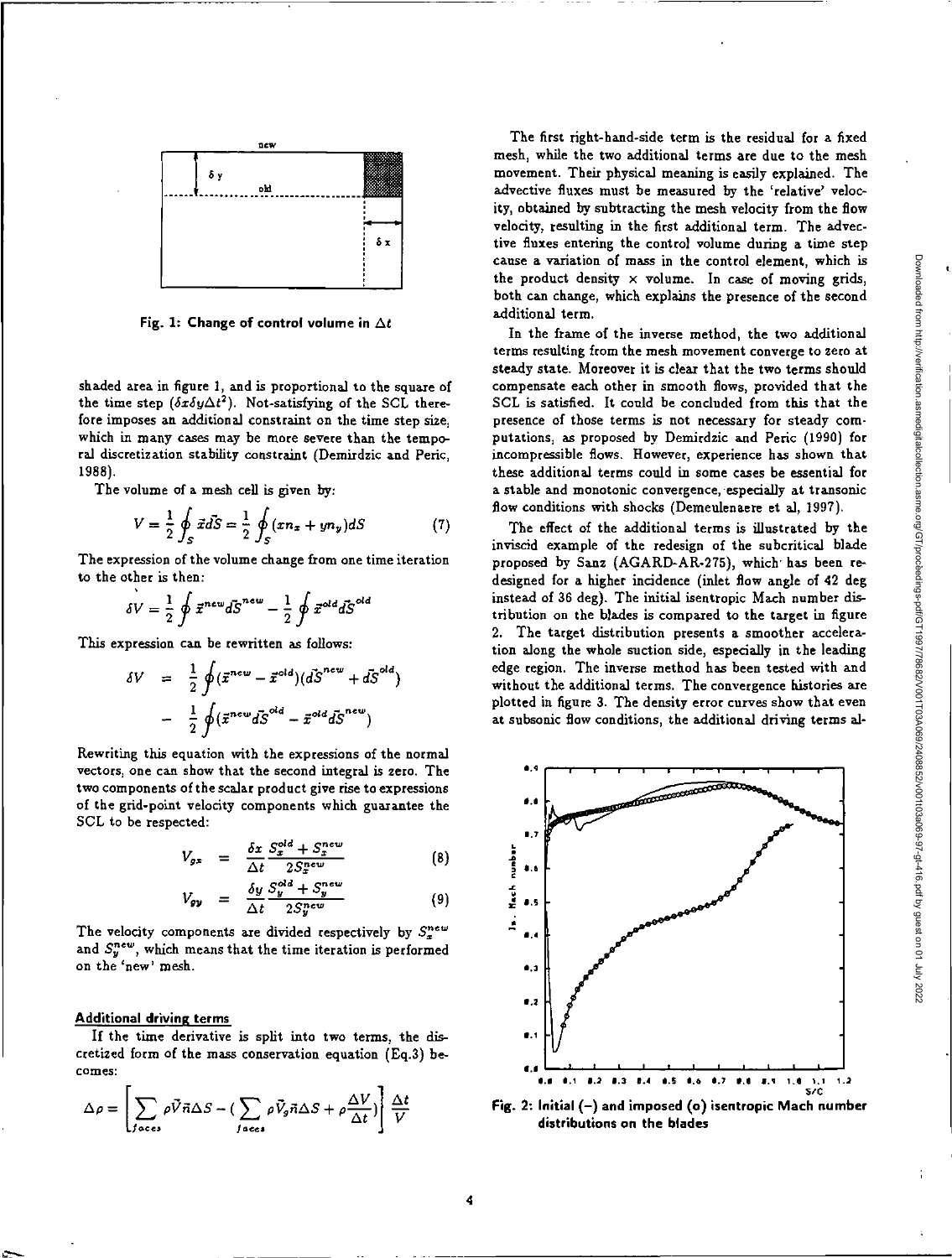

**Fig. 1: Change of control volume in** At

shaded area in figure 1, and is proportional to the square of the time step  $(\delta x \delta y \Delta t^2)$ . Not-satisfying of the SCL therefore imposes an additional constraint on the time step size, which in many cases may be more severe than the temporal discretization stability constraint (Demirdzic and Peric, 1988).

The volume of a mesh cell is given by:

$$
V = \frac{1}{2} \oint_{S} \vec{x} d\vec{S} = \frac{1}{2} \oint_{S} (xn_x + yn_y) dS \tag{7}
$$

The expression of the volume change from one time iteration to the other is then:

other is then:  
\n
$$
\delta V = \frac{1}{2} \oint \vec{x}^{new} d\vec{S}^{new} - \frac{1}{2} \oint \vec{x}^{old} d\vec{S}^{old}
$$

This expression can be rewritten as follows:

$$
\delta V = \frac{1}{2} \oint (\vec{x}^{new} - \vec{x}^{old}) (\vec{dS}^{new} + \vec{dS}^{old})
$$

$$
- \frac{1}{2} \oint (\vec{x}^{new} \vec{dS}^{old} - \vec{x}^{old} \vec{dS}^{new})
$$

Rewriting this equation with the expressions of the normal vectors, one can show that the second integral is zero. The two components of the scalar product give rise to expressions of the grid-point velocity components which guarantee the SCL to be respected:

$$
V_{gx} = \frac{\delta x}{\Delta t} \frac{S_x^{old} + S_x^{new}}{2S_x^{new}} \tag{8}
$$

$$
V_{gy} = \frac{\delta y}{\Delta t} \frac{S_y^{old} + S_y^{new}}{2S_y^{new}} \tag{9}
$$

The velocity components are divided respectively by  $S_x^{new}$ and  $S_y^{new}$ , which means that the time iteration is performed on the 'new' mesh.

#### **Additional driving terms**

If the time derivative is split into two terms, the discretized form of the *mass* conservation equation (Eq.3) becomes:

$$
\Delta \rho = \left[ \sum_{\text{faces}} \rho \vec{V} \vec{n} \Delta S - \left( \sum_{\text{faces}} \rho \vec{V}_{g} \vec{n} \Delta S + \rho \frac{\Delta V}{\Delta t} \right) \right] \frac{\Delta t}{V}
$$

The first right-hand-side term is the residual for a fixed mesh, while the two additional terms are due to the mesh movement. Their physical meaning is easily explained. The advective fluxes must be measured by the 'relative' velocity, obtained by subtracting the mesh velocity from the flow velocity, resulting in the first additional term. The advective fluxes entering the control volume during a time step cause a variation of mass in the control element, which is the product density x volume. In *case* of moving grids, both can change, which explains the presence of the second additional term.

In the frame of the inverse method, the two additional terms resulting from the mesh movement converge to zero at steady state. Moreover it is clear that the two terms should compensate each other in smooth flows, provided that the SCL is satisfied. It could be concluded from this that the presence of those terms is not necessary for steady computations, as proposed by Demirdzic and Peric (1990) for incompressible flows. However, experience has shown that these additional terms could in some cases be essential for a stable and monotonic convergence, especially at transonic flow conditions with shocks (Demeulenaere et al, 1997).

The effect of the additional terms is illustrated by the inviscid example of the redesign of the subcritica1 blade proposed by Sanz (AGARD-AR-275), which has been redesigned for a higher incidence (inlet flow angle of 42 deg instead of 36 deg). The initial isentropic Mach number distribution on the blades is compared to the target in figure 2. The target distribution presents a smoother acceleration along the whole suction side, especially in the leading edge region. The inverse method has been tested with and without the additional terms. The convergence histories are plotted in figure 3. The density error curves show that even at subsonic flow conditions, the additional driving terms al-



**Fig. 2: Initial (—) and imposed (o) isentropic Mach number distributions on the blades**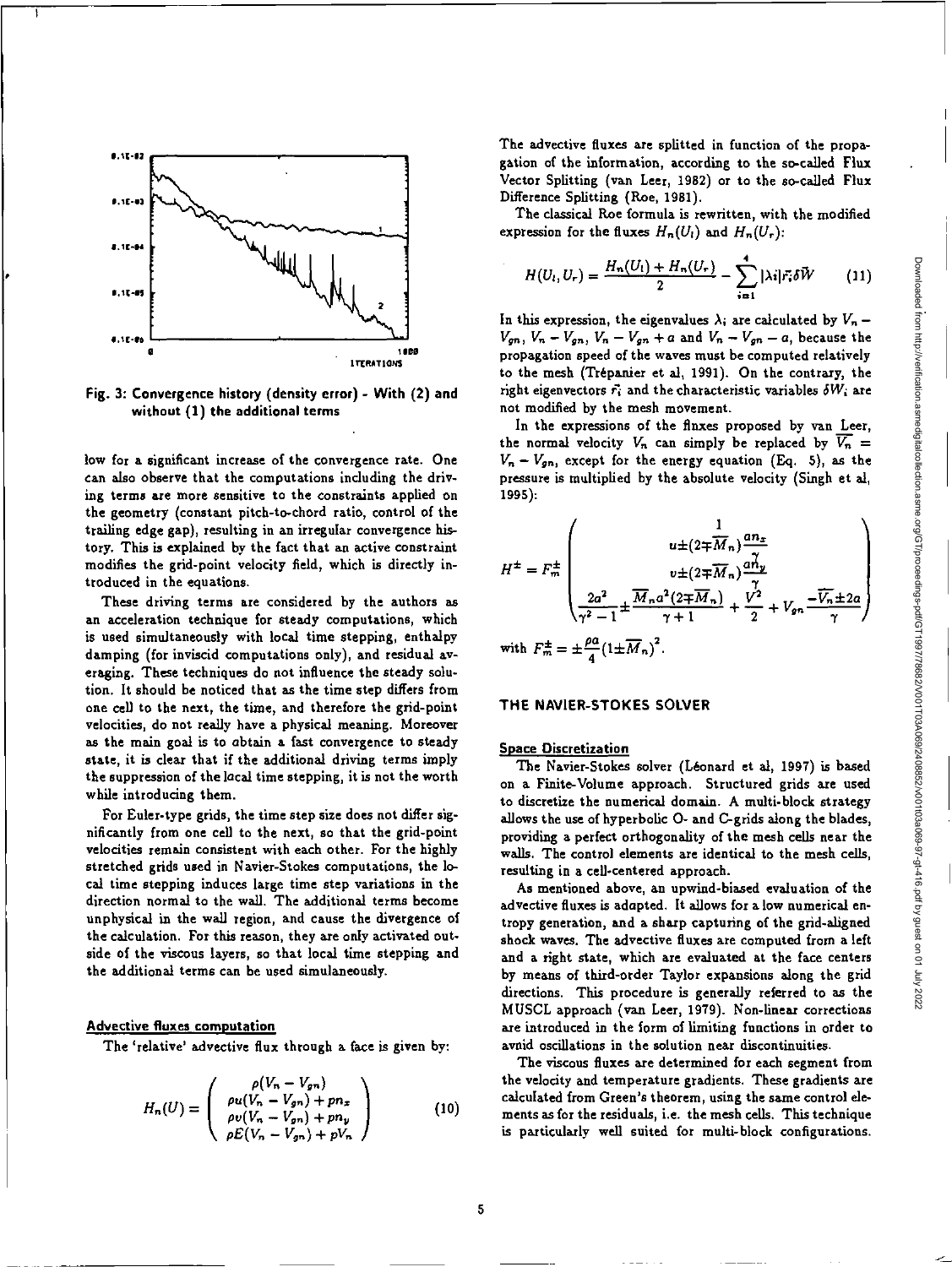

**Fig. 3: Convergence history (density error) - With (2) and without (1) the additional terms** 

**low for a significant increase of the convergence rate. One can also observe that the computations including the driving terms are more sensitive to the constraints applied on the geometry (constant pitch-to-chord ratio, control of the trailing edge gap), resulting in an irregular convergence history. This is explained by the fact that an active constraint modifies the grid-point velocity field, which is directly introduced in the equations.** 

**These driving terms are considered by the authors as an acceleration technique for steady computations, which is used simultaneously with local time stepping, enthalpy damping (for inviscid computations only), and residual averaging. These techniques do not influence the steady solution. It should be noticed that as the time step differs from one cell to the next, the time, and therefore the grid-point velocities, do not really have a physical meaning. Moreover as the main goal is to obtain a fast convergence to steady state, it is clear that if the additional driving terms imply the suppression of the local time stepping, it is not the worth while introducing them.** 

**For Euler-type grids, the time step size does not differ significantly from one cell to the next, so that the grid-point velocities remain consistent with each other. For the highly stretched grids used in Navier-Stokes computations, the local time stepping induces large time step variations in the direction normal to the wall. The additional terms become unphysical in the wall region, and cause the divergence of the calculation. For this reason, they are only activated outside of the viscous layers, so that local time stepping and the additional terms can be used simulaneously.** 

## **Advective fluxes computation**

**The 'relative' advective flux through a face is given by:** 

$$
H_n(U) = \begin{pmatrix} \rho(V_n - V_{gn}) \\ \rho u(V_n - V_{gn}) + pn_x \\ \rho v(V_n - V_{gn}) + pn_y \\ \rho E(V_n - V_{gn}) + pV_n \end{pmatrix}
$$
 (10)

**The advective fluxes are splitted in function of the propagation of the information, according to the so-called Flux Vector Splitting (van Leer, 1982) or to the so-called Flux Difference Splitting (Roe, 1981).** 

**The classical Roe formula is rewritten, with the modified**  expression for the fluxes  $H_n(U_i)$  and  $H_n(U_r)$ :

$$
H(U_l, U_r) = \frac{H_n(U_l) + H_n(U_r)}{2} - \sum_{i=1}^4 |\lambda_i| \vec{r_i} \delta \vec{W} \qquad (11)
$$

In this expression, the eigenvalues  $\lambda_i$  are calculated by  $V_n$  –  $V_{gn}$ ,  $V_n - V_{gn}$ ,  $V_n - V_{gn} + a$  and  $V_n - V_{gn} - a$ , because the **propagation speed of the waves must be computed relatively to the mesh (Trepanier et al, 1991). On the contrary, the**  right eigenvectors  $\vec{r_i}$  and the characteristic variables  $\delta W_i$  are **not modified by the mesh movement.** 

In the expressions of the fluxes proposed by van Leer, the normal velocity  $V_n$  can simply be replaced by  $\overline{V_n}$  =  $V_n - V_{gn}$ , except for the energy equation (Eq. 5), as the **pressure is multiplied by the absolute velocity (Singh et al, 1995):** 

$$
H^{\pm} = F_m^{\pm} \begin{pmatrix} \frac{1}{w \pm (2 \mp \overline{M}_n) \frac{a n_x}{\gamma}} & \frac{1}{w \pm (2 \mp \overline{M}_n) \frac{a n_y}{\gamma}} & \frac{1}{w \pm (2 \mp \overline{M}_n) \frac{a n_y}{\gamma}} & \frac{1}{w \pm (2 \mp \overline{M}_n) \frac{a n_y}{\gamma}} & \frac{1}{w \pm (2 \mp \overline{M}_n) \frac{a n_z}{\gamma}} & \frac{1}{w \pm (2 \mp \overline{M}_n) \frac{a n_z}{\gamma}} & \frac{1}{w \pm (2 \mp \overline{M}_n) \frac{a n_z}{\gamma}} & \frac{1}{w \pm (2 \mp \overline{M}_n) \frac{a n_z}{\gamma}} & \frac{1}{w \pm (2 \mp \overline{M}_n) \frac{a n_z}{\gamma}} & \frac{1}{w \pm (2 \mp \overline{M}_n) \frac{a n_z}{\gamma}} & \frac{1}{w \pm (2 \mp \overline{M}_n) \frac{a n_z}{\gamma}} & \frac{1}{w \pm (2 \mp \overline{M}_n) \frac{a n_z}{\gamma}} & \frac{1}{w \pm (2 \mp \overline{M}_n) \frac{a n_z}{\gamma}} & \frac{1}{w \pm (2 \mp \overline{M}_n) \frac{a n_z}{\gamma}} & \frac{1}{w \pm (2 \mp \overline{M}_n) \frac{a n_z}{\gamma}} & \frac{1}{w \pm (2 \mp \overline{M}_n) \frac{a n_z}{\gamma}} & \frac{1}{w \pm (2 \mp \overline{M}_n) \frac{a n_z}{\gamma}} & \frac{1}{w \pm (2 \mp \overline{M}_n) \frac{a n_z}{\gamma}} & \frac{1}{w \pm (2 \mp \overline{M}_n) \frac{a n_z}{\gamma}} & \frac{1}{w \pm (2 \mp \overline{M}_n) \frac{a n_z}{\gamma}} & \frac{1}{w \pm (2 \mp \overline{M}_n) \frac{a n_z}{\gamma}} & \frac{1}{w \pm (2 \mp \overline{M}_n) \frac{a n_z}{\gamma}} & \frac{1}{w \pm (2 \mp \overline{M}_n) \frac{a n_z}{\gamma}} & \frac{1}{w \pm (2 \mp \overline{M}_n) \frac{a n_z}{\
$$

## **THE NAVIER-STOKES SOLVER**

### **Space Discretization**

**The Navier-Stokes solver (Leonard et al, 1997) is based on a Finite-Volume approach. Structured grids are used to discretize the numerical domain. A multi-block strategy allows the use of hyperbolic 0- and C-grids along the blades, providing a perfect orthogonality of the mesh cells near the walls. The control elements are identical to the mesh cells, resulting in a cell-centered approach.** 

**As mentioned above, an upwind-biased evaluation of the advective fluxes is adopted. It allows for a low numerical entropy generation, and a sharp capturing of the grid-aligned shock waves. The advective fluxes are computed from a left and a right state, which are evaluated at the face centers by means of third-order Taylor expansions along the grid directions. This procedure is generally referred to as the MUSCL approach (van Leer, 1979). Non-linear corrections are introduced in the form of limiting functions in order to avoid oscillations in the solution near discontinuities.** 

**The viscous fluxes are determined for each segment from the velocity and temperature gradients. These gradients are calculated from Green's theorem, using the same control elements as for the residuals, i.e. the mesh cells. This technique is particularly well suited for multi-block configurations.**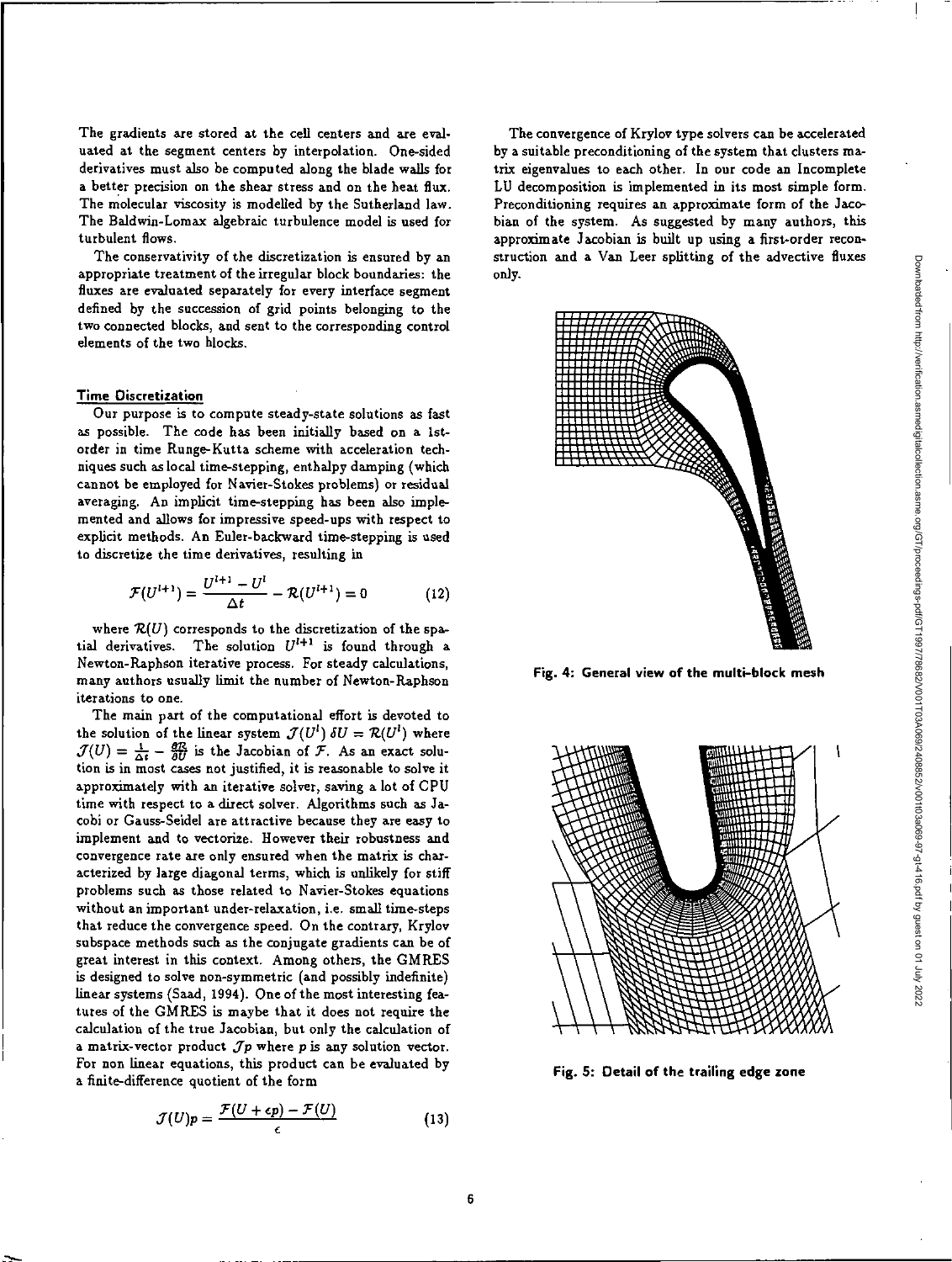The gradients are stored at the cell centers and are evaluated at the segment centers by interpolation. One-sided derivatives must also be computed along the blade *walls* for a better precision on the shear stress and on the heat flux. The molecular viscosity is modelled by the Sutherland law. The Baldwin-Lomax algebraic turbulence model is used for turbulent flows.

The conservativity of the discretization is ensured by an appropriate treatment of the irregular block boundaries: the fluxes are evaluated separately for every interface segment defined by the succession of grid points belonging to the two connected blocks, and sent to the corresponding control elements of the two blocks.

## **Time Discretization**

Our purpose is to compute steady-state solutions as fast as possible. The code has been initially based on a 1storder in time Runge-Kutta scheme with acceleration techniques such as local time-stepping, enthalpy damping (which cannot be employed for Navier-Stokes problems) or residual averaging. An implicit time-stepping has been also implemented and allows for impressive speed-ups with respect to explicit methods. An Euler-backward time-stepping is used to discretize the time derivatives, resulting in

$$
\mathcal{F}(U^{l+1}) = \frac{U^{l+1} - U^l}{\Delta t} - \mathcal{R}(U^{l+1}) = 0
$$
 (12)

where  $\mathcal{R}(U)$  corresponds to the discretization of the spatial derivatives. The solution  $U^{l+1}$  is found through a Newton-Raphson iterative process. For steady calculations, many authors usually limit the number of Newton-Raphson iterations to one.

The main part of the computational effort is devoted to the solution of the linear system  $\mathcal{J}(U^l) \delta U = \mathcal{R}(U^l)$  where  $\mathcal{J}(U) = \frac{1}{\Delta t} - \frac{\partial \mathcal{R}}{\partial U}$  is the Jacobian of F. As an exact solution is in most cases not justified, it is reasonable to solve it approximately with an iterative solver, saving a lot of CPU time with respect to a direct solver. Algorithms such as Jacobi or Gauss-Seidel are attractive because they are easy to implement and to vectorize. However their robustness and convergence rate are only ensured when the matrix is characterized by large diagonal terms, which is unlikely for stiff problems such as those related to Navier-Stokes equations without an important under-relaxation, i.e. small time-steps that reduce the convergence speed. On the contrary, Krylov subspace methods such as the conjugate gradients can be of great interest in this context. Among others, the GMRES is designed to solve non-symmetric (and possibly indefinite) linear systems (Sad, 1994). One of the most interesting features of the GMRES is maybe that it does not require the calculation of the true Jacobian, but only the calculation of a matrix-vector product  $Jp$  where p is any solution vector. For non linear equations, this product can be evaluated by a finite-difference quotient of the form

$$
\mathcal{J}(U)p = \frac{\mathcal{F}(U + \epsilon p) - \mathcal{F}(U)}{\epsilon}
$$
 (13)

The convergence of Krylov type solvers can be accelerated by a suitable preconditioning of the system that clusters matrix eigenvalues to each other, In our code an Incomplete LU decomposition is implemented in its most simple form. Preconditioning requires an approximate form of the Jacobian of the system. As suggested by many authors, this approximate Jacobian is built up using a first-order reconstruction and a Van Leer splitting of the advective fluxes only.



**Fig. 4: General view of the multi-block mesh** 



**Fig. 5: Detail of the trailing edge zone**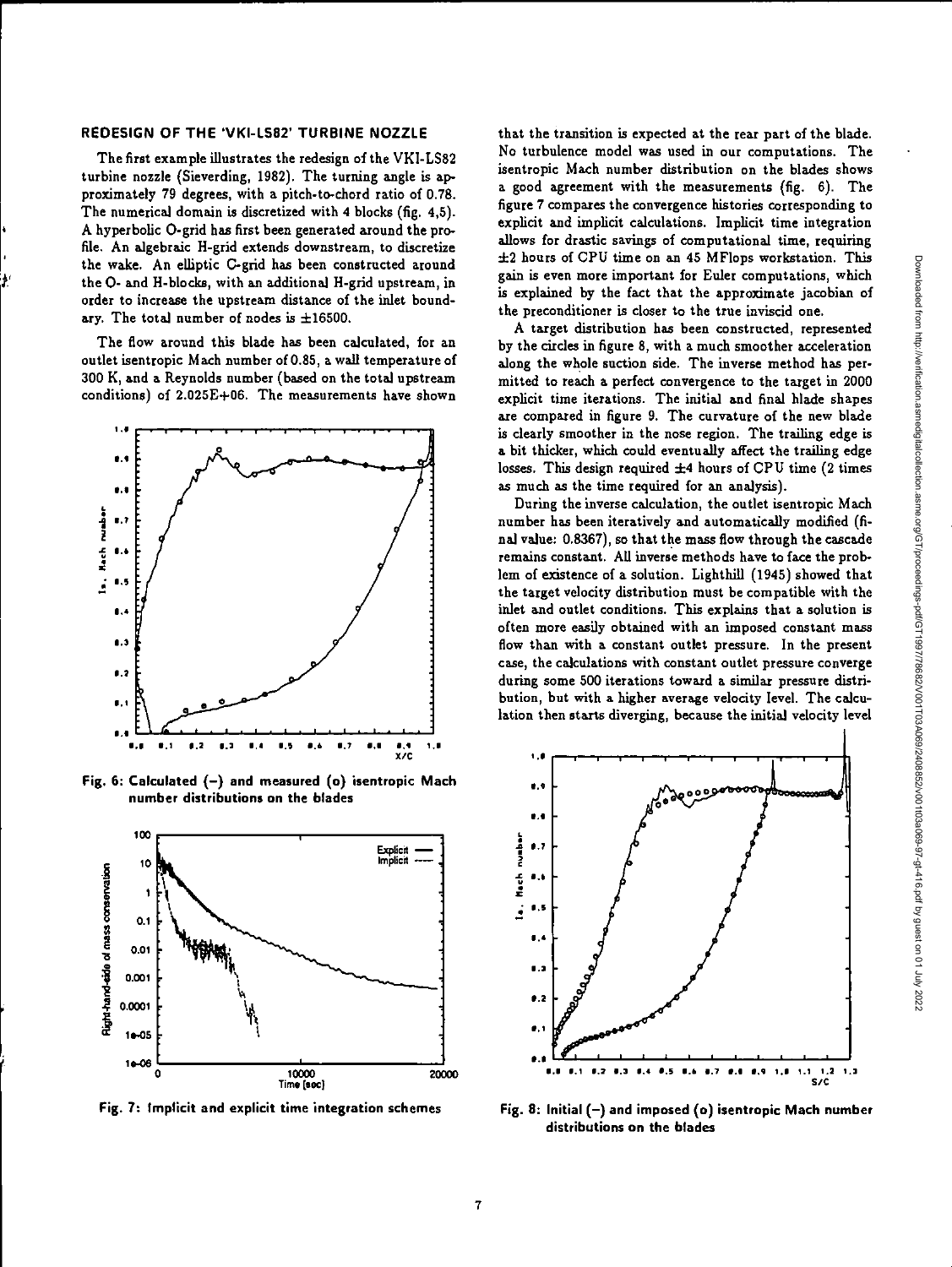### **REDESIGN OF THE 'VKI-L582' TURBINE NOZZLE**

The first example illustrates the redesign of the VKI-LS82 turbine nozzle (Sieverding, 1982). The turning angle is approximately 79 degrees, with a pitch-to-chord ratio of 0.78. The numerical domain is discretized with 4 blocks (fig. 4,5). A hyperbolic 0-grid has first been generated around the profile. An algebraic H-grid extends downstream, to discretize the wake. An elliptic C-grid has been constructed around the 0- and H-blocks, with an additional H-grid upstream, in order to increase the upstream distance of the inlet boundary. The total number of nodes is  $\pm 16500$ .

The flow around this blade has been calculated, for an outlet isentropic Mach number of 0.85, a wall temperature of 300 K, and a Reynolds number (based on the total upstream conditions) of 2.025E+06. The measurements have shown



**Fig. 6: Calculated (—) and measured (o) isentropic Mach number distributions on the blades** 



**Fig. 7: Implicit and explicit time integration schemes** 

that the transition is expected at the rear part of the blade. No turbulence model was used in our computations. The isentropic Mach number distribution on the blades shows a good agreement with the measurements (fig. 6). The figure 7 compares the convergence histories corresponding to explicit and implicit calculations. Implicit time integration allows for drastic savings of computational time, requiring ±2 hours of CPU time on an 45 MFlops workstation. This gain is even more important for Euler computations, which is explained by the fact that the approximate jacobian of the preconditioner is closer to the true inviscid one.

A target distribution has been constructed, represented by the circles in figure 8, with a much smoother acceleration along the whole suction side. The inverse method has permitted to reach a perfect convergence to the target in 2000 explicit time iterations. The initial and final blade shapes are compared in figure 9. The curvature of the new blade is dearly smoother in the nose region. The trailing edge is a bit thicker, which could eventually affect the trailing edge losses. This design required ±4 hours of CPU time (2 times as much as the time required for an analysis).

During the inverse calculation, the outlet isentropic Mach number has been iteratively and automatically modified (final value: 0.8367), so that the mass flow through the cascade remains constant. AU inverse methods have to face the problem of existence of a solution. Lighthill (1945) showed that the target velocity distribution must be compatible with the inlet and outlet conditions. This explains that a solution is often more easily obtained with an imposed constant mass flow than with a constant outlet pressure. In the present *case,* the calculations with constant outlet pressure converge during some 500 iterations toward a similar pressure distribution, but with a higher average velocity level. The calculation then starts diverging, because the initial velocity level



Fig. 8: Initial (-) and imposed (o) isentropic Mach number **distributions on the blades**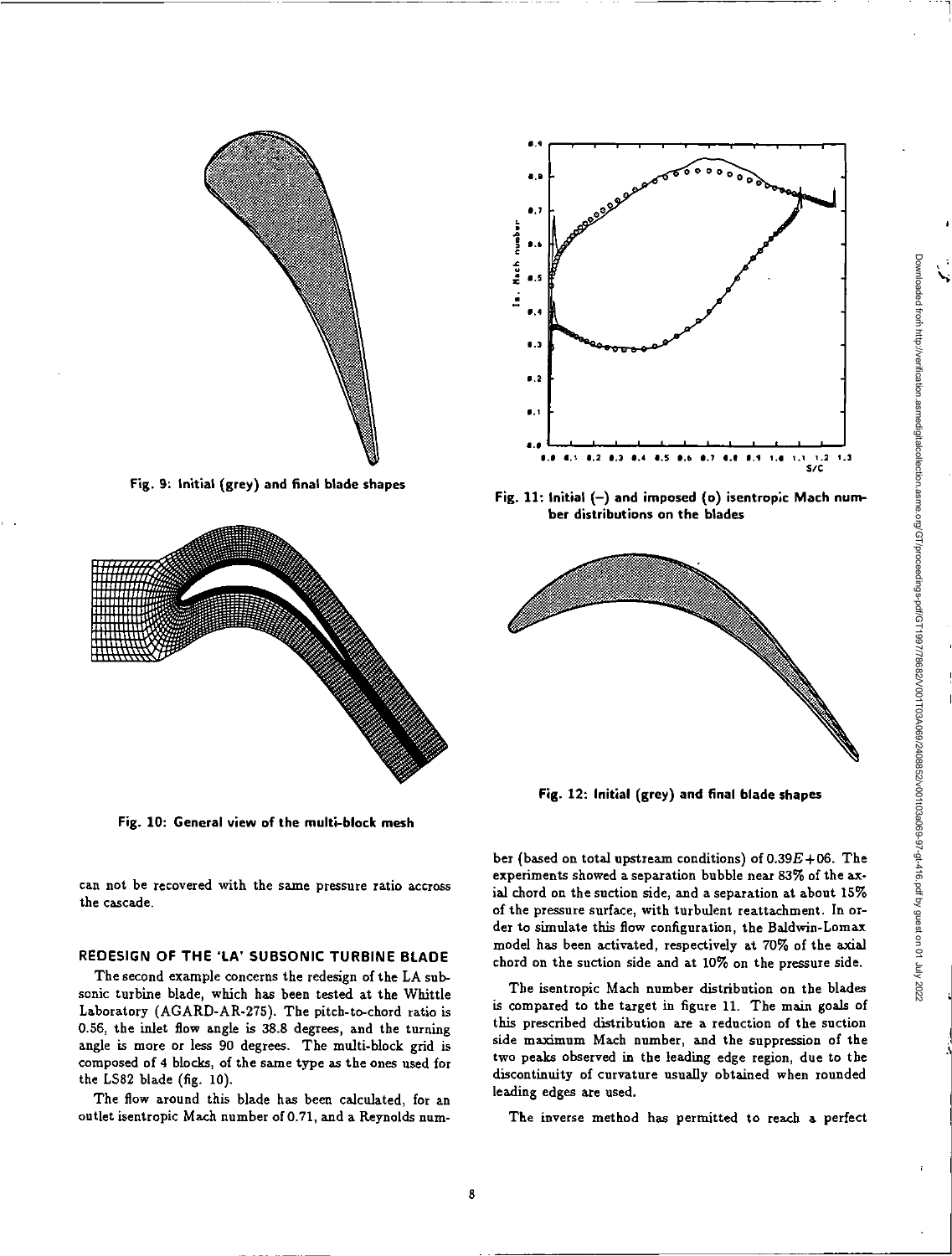

**Fig. 9: Initial (grey) and final blade shapes** 



**Fig. 10: General view of the multi-block mesh** 

can not be recovered with the same pressure ratio accross the cascade.

# **REDESIGN OF THE 'LA' SUBSONIC TURBINE BLADE**

The second example concerns the redesign of the LA subsonic turbine blade, which has been tested at the Whittle Laboratory (AGARD-AR-275). The pitch-to-chord ratio is 0.56, the inlet flow angle is 38.8 degrees, and the turning angle is more or less 90 degrees. The multi-block grid is composed of 4 blocks, of the same type as the ones used for the LS82 blade (fig. 10).

The flow around this blade has been calculated, for an outlet isentropic Mach number of 0.71, and a Reynolds num-



**Fig. 11: Initial (—) and imposed (o) isentropic Mach number distributions on the blades** 



**Fig. 12: Initial (grey) and final blade shapes** 

ber (based on total upstream conditions) of  $0.39E+06$ . The experiments showed a separation bubble near 83% of the axial chord on the suction side, and a separation at about 15% of the pressure surface, with turbulent reattachment. In order to simulate this flow configuration, the Baldwin-Lomax model has been activated, respectively at 70% of the axial chord on the suction side and at 10% on the pressure side.

The isentropic Mach number distribution on the blades is compared to the target in figure 11. The main goals of this prescribed distribution are a reduction of the suction side maximum Mach number, and the suppression of the two peaks observed in the leading edge region, due to the discontinuity of curvature usually obtained when rounded leading edges are used.

The inverse method has permitted to reach a perfect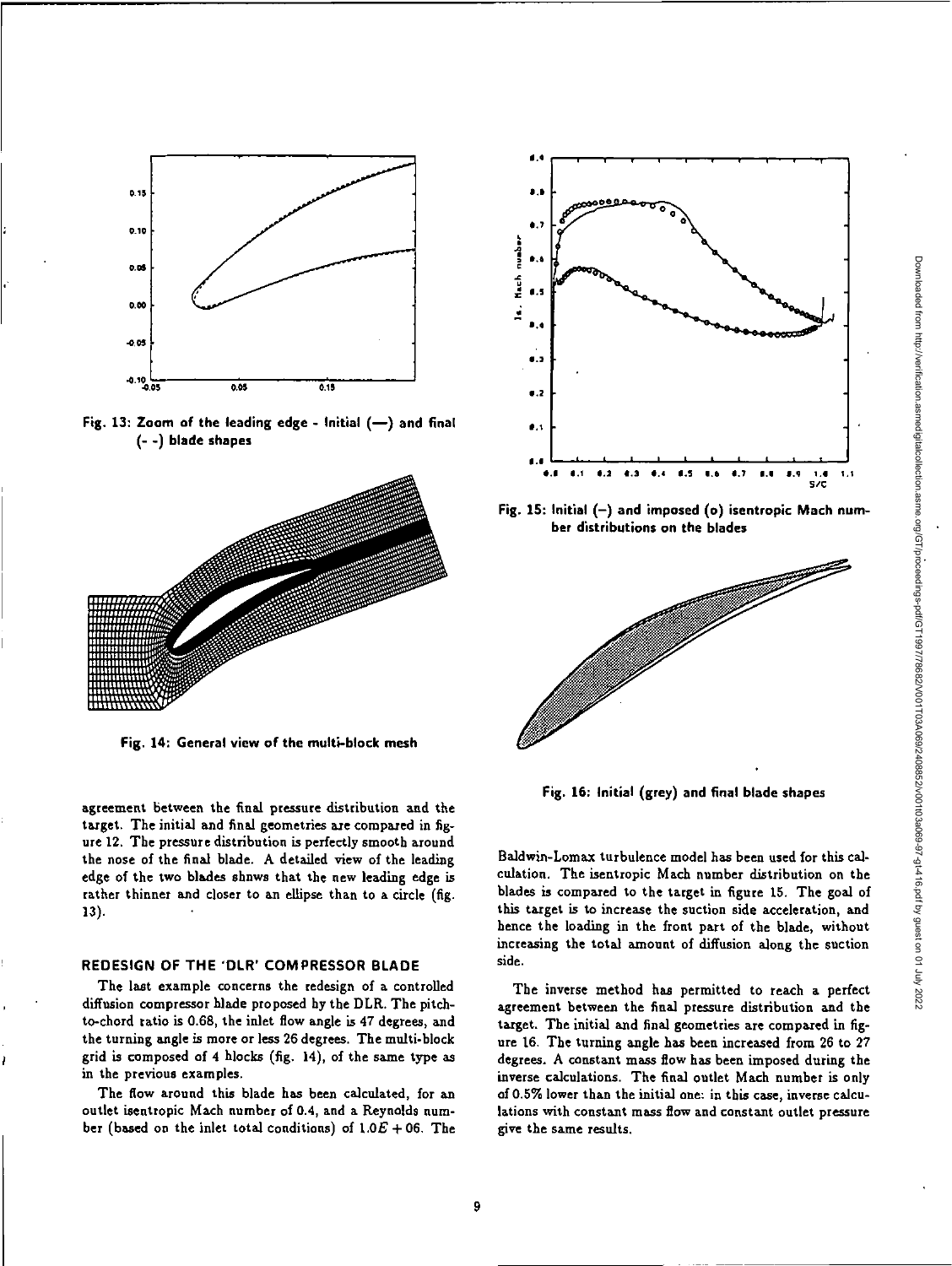

**Fig. 13: Zoom of the leading edge - Initial (—) and final (- -) blade shapes** 



**Fig. 14: General view of the multi-block mesh** 

agreement between the final pressure distribution and the target. The initial and final geometries are compared in figure 12. The pressure distribution is perfectly smooth around the nose of the final blade. A detailed view of the leading edge of the two blades shows that the new leading edge is rather thinner and closer to an ellipse than to a circle (fig. 13).

## **REDESIGN OF THE 'DLR' COMPRESSOR BLADE**

**The last** example concerns the redesign of a controlled diffusion compressor blade proposed by the DLR. The pitchto-chord ratio is 0.68, the inlet flow angle is 47 degrees, and the turning angle is more or less 26 degrees. The multi-block grid is composed of 4 blocks (fig. 14), of the same type as in the previous examples.

The flow around this blade has been calculated, for an outlet isentropic Mach number of 0.4, and a Reynolds number (based on the inlet total conditions) of  $1.0E + 06$ . The



**Fig. 15: Initial (—) and imposed (o) isentropic Mach number distributions on the blades** 



**Fig. 16: Initial (grey) and final blade shapes** 

Baldwin-Lomax turbulence model has been used for this calculation. The isentropic Mach number distribution on the blades is compared to the target in figure 15. The goal of this target is to increase the suction side acceleration, and hence the loading in the front part of the blade, without increasing the total amount of diffusion along the suction side.

The inverse method has permitted to reach a perfect agreement between the final pressure distribution and the target. The initial and final geometries are compared in figure 16. The turning angle has been increased from 26 to 27 degrees. A constant mass flow has been imposed during the inverse calculations. The final outlet Mach number is only of 0.5% lower than the initial one: in this case, inverse calculations with constant mass flow and constant outlet pressure give the same results.